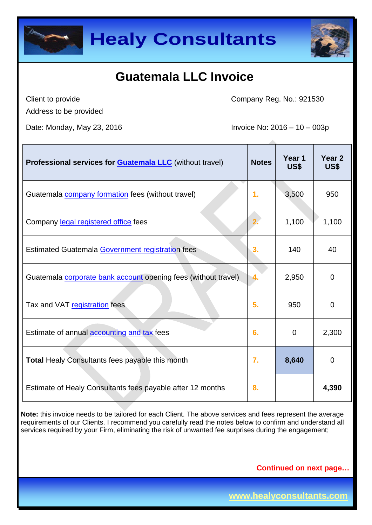



Client to provide Address to be provided Company Reg. No.: 921530

Date: Monday, May 23, 2016 **Invoice No: 2016** - 10 – 003p

| <b>Professional services for Guatemala LLC</b> (without travel) | <b>Notes</b>     | Year 1<br>US\$ | Year 2<br>US\$ |
|-----------------------------------------------------------------|------------------|----------------|----------------|
| Guatemala <b>company formation</b> fees (without travel)        | $\mathbf{1}$ .   | 3,500          | 950            |
| Company legal registered office fees                            |                  | 1,100          | 1,100          |
| Estimated Guatemala Government registration fees                | 3.               | 140            | 40             |
| Guatemala corporate bank account opening fees (without travel)  |                  | 2,950          | $\Omega$       |
| Tax and VAT registration fees                                   | 5.               | 950            | 0              |
| Estimate of annual <b>accounting and tax</b> fees               | 6.               | $\Omega$       | 2,300          |
| <b>Total Healy Consultants fees payable this month</b>          | $\overline{7}$ . | 8,640          | $\overline{0}$ |
| Estimate of Healy Consultants fees payable after 12 months      | 8.               |                | 4,390          |

**Note:** this invoice needs to be tailored for each Client. The above services and fees represent the average requirements of our Clients. I recommend you carefully read the notes below to confirm and understand all services required by your Firm, eliminating the risk of unwanted fee surprises during the engagement;

**Continued on next page…**

**www.healyconsultants.com**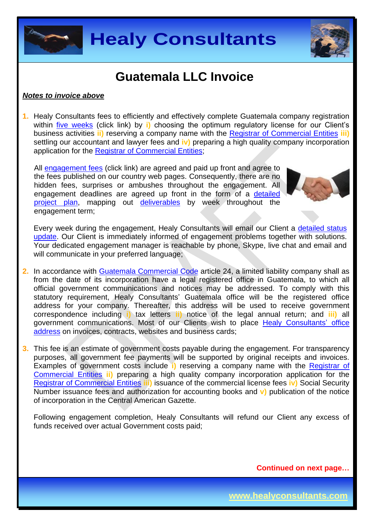



#### *Notes to invoice above*

**1.** Healy Consultants fees to efficiently and effectively complete Guatemala company registration within [five weeks](http://www.healyconsultants.com/guatemala-company-registration/fees-timelines/#timelines) (click link) by **i)** choosing the optimum regulatory license for our Client's business activities **ii)** reserving a company name with the [Registrar of Commercial Entities](http://www.registromercantil.gob.gt/webrm/) **iii)** settling our accountant and lawyer fees and **iv)** preparing a high quality company incorporation application for the [Registrar of Commercial Entities;](http://www.registromercantil.gob.gt/webrm/)

All [engagement fees](http://www.healyconsultants.com/company-registration-fees/) (click link) are agreed and paid up front and agree to the fees published on our country web pages. Consequently, there are no hidden fees, surprises or ambushes throughout the engagement. All engagement deadlines are agreed up front in the form of a [detailed](http://www.healyconsultants.com/index-important-links/example-project-plan/)  [project plan,](http://www.healyconsultants.com/index-important-links/example-project-plan/) mapping out [deliverables](http://www.healyconsultants.com/deliverables-to-our-clients/) by week throughout the engagement term;



Every week during the engagement, Healy Consultants will email our Client a [detailed status](http://www.healyconsultants.com/index-important-links/weekly-engagement-status-email/)  [update.](http://www.healyconsultants.com/index-important-links/weekly-engagement-status-email/) Our Client is immediately informed of engagement problems together with solutions. Your dedicated engagement manager is reachable by phone, Skype, live chat and email and will communicate in your preferred language;

- **2.** In accordance with [Guatemala Commercial Code](http://www.wipo.int/wipolex/en/text.jsp?file_id=333377) article 24, a limited liability company shall as from the date of its incorporation have a legal registered office in Guatemala, to which all official government communications and notices may be addressed. To comply with this statutory requirement, Healy Consultants' Guatemala office will be the registered office address for your company. Thereafter, this address will be used to receive government correspondence including **i)** tax letters **ii)** notice of the legal annual return; and **iii)** all government communications. Most of our Clients wish to place [Healy Consultants'](http://www.healyconsultants.com/corporate-outsourcing-services/company-secretary-and-legal-registered-office/) office [address](http://www.healyconsultants.com/corporate-outsourcing-services/company-secretary-and-legal-registered-office/) on invoices, contracts, websites and business cards;
- **3.** This fee is an estimate of government costs payable during the engagement. For transparency purposes, all government fee payments will be supported by original receipts and invoices. Examples of government costs include **i)** reserving a company name with the [Registrar of](http://www.registromercantil.gob.gt/webrm/)  [Commercial Entities](http://www.registromercantil.gob.gt/webrm/) **ii)** preparing a high quality company incorporation application for the [Registrar of Commercial Entities](http://www.registromercantil.gob.gt/webrm/) **iii)** issuance of the commercial license fees **iv)** Social Security Number issuance fees and authorization for accounting books and **v)** publication of the notice of incorporation in the Central American Gazette.

Following engagement completion, Healy Consultants will refund our Client any excess of funds received over actual Government costs paid;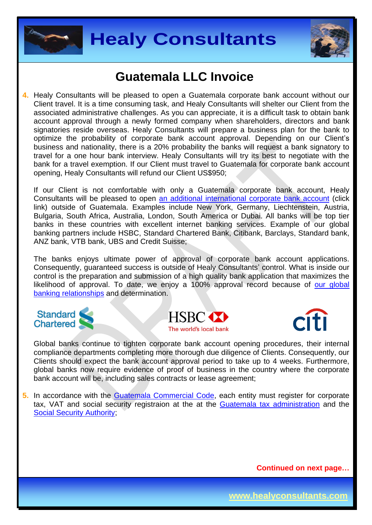



**4.** Healy Consultants will be pleased to open a Guatemala corporate bank account without our Client travel. It is a time consuming task, and Healy Consultants will shelter our Client from the associated administrative challenges. As you can appreciate, it is a difficult task to obtain bank account approval through a newly formed company when shareholders, directors and bank signatories reside overseas. Healy Consultants will prepare a business plan for the bank to optimize the probability of corporate bank account approval. Depending on our Client's business and nationality, there is a 20% probability the banks will request a bank signatory to travel for a one hour bank interview. Healy Consultants will try its best to negotiate with the bank for a travel exemption. If our Client must travel to Guatemala for corporate bank account opening, Healy Consultants will refund our Client US\$950;

If our Client is not comfortable with only a Guatemala corporate bank account, Healy Consultants will be pleased to open an additional [international corporate bank account](http://www.healyconsultants.com/international-banking/) (click link) outside of Guatemala. Examples include New York, Germany, Liechtenstein, Austria, Bulgaria, South Africa, Australia, London, South America or Dubai. All banks will be top tier banks in these countries with excellent internet banking services. Example of our global banking partners include HSBC, Standard Chartered Bank, Citibank, Barclays, Standard bank, ANZ bank, VTB bank, UBS and Credit Suisse;

The banks enjoys ultimate power of approval of corporate bank account applications. Consequently, guaranteed success is outside of Healy Consultants' control. What is inside our control is the preparation and submission of a high quality bank application that maximizes the likelihood of approval. To date, we enjoy a 100% approval record because of our global [banking relationships](http://www.healyconsultants.com/international-banking/corporate-accounts/) and determination.







Global banks continue to tighten corporate bank account opening procedures, their internal compliance departments completing more thorough due diligence of Clients. Consequently, our Clients should expect the bank account approval period to take up to 4 weeks. Furthermore, global banks now require evidence of proof of business in the country where the corporate bank account will be, including sales contracts or lease agreement;

**5.** In accordance with the [Guatemala Commercial Code,](http://www.wipo.int/wipolex/en/text.jsp?file_id=333377) each entity must register for corporate tax, VAT and social security registraion at the at the [Guatemala tax administration](../portal.sat.gob.gt/) and the [Social Security Authority;](http://www.igssgt.org/)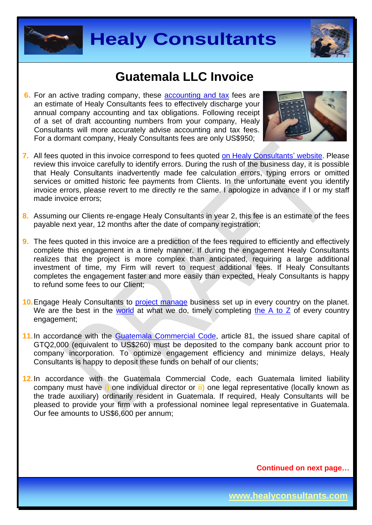



**6.** For an active trading company, these accounting and tax fees are an estimate of Healy Consultants fees to effectively discharge your annual company accounting and tax obligations. Following receipt of a set of draft accounting numbers from your company, Healy Consultants will more accurately advise accounting and tax fees. For a dormant company, Healy Consultants fees are only US\$950;



- **7.** All fees quoted in this invoice correspond to fees quoted [on Healy Consultants'](http://www.healyconsultants.com/company-registration-fees/) website. Please review this invoice carefully to identify errors. During the rush of the business day, it is possible that Healy Consultants inadvertently made fee calculation errors, typing errors or omitted services or omitted historic fee payments from Clients. In the unfortunate event you identify invoice errors, please revert to me directly re the same. I apologize in advance if I or my staff made invoice errors;
- **8.** Assuming our Clients re-engage Healy Consultants in year 2, this fee is an estimate of the fees payable next year, 12 months after the date of company registration;
- **9.** The fees quoted in this invoice are a prediction of the fees required to efficiently and effectively complete this engagement in a timely manner. If during the engagement Healy Consultants realizes that the project is more complex than anticipated, requiring a large additional investment of time, my Firm will revert to request additional fees. If Healy Consultants completes the engagement faster and more easily than expected, Healy Consultants is happy to refund some fees to our Client;
- **10.** Engage Healy Consultants to [project manage](http://www.healyconsultants.com/project-manage-engagements/) business set up in every country on the planet. We are the best in the [world](http://www.healyconsultants.com/best-in-the-world/) at what we do, timely completing [the A to Z](http://www.healyconsultants.com/a-to-z-of-business-set-up/) of every country engagement;
- 11. In accordance with the [Guatemala Commercial Code,](http://www.wipo.int/wipolex/en/text.jsp?file_id=333377) article 81, the issued share capital of GTQ2,000 (equivalent to US\$260) must be deposited to the company bank account prior to company incorporation. To optimize engagement efficiency and minimize delays, Healy Consultants is happy to deposit these funds on behalf of our clients;
- **12.**In accordance with the Guatemala Commercial Code, each Guatemala limited liability company must have **i)** one individual director or **ii)** one legal representative (locally known as the trade auxiliary) ordinarily resident in Guatemala. If required, Healy Consultants will be pleased to provide your firm with a professional nominee legal representative in Guatemala. Our fee amounts to US\$6,600 per annum;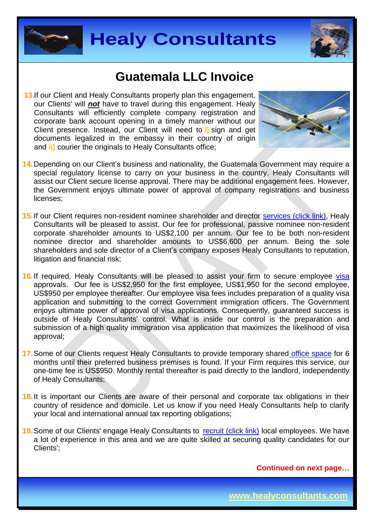



**13. If our Client and Healy Consultants properly plan this engagement,** our Clients' will *not* have to travel during this engagement. Healy Consultants will efficiently complete company registration and corporate bank account opening in a timely manner without our Client presence. Instead, our Client will need to **i)** sign and get documents legalized in the embassy in their country of origin and **ii)** courier the originals to Healy Consultants office;



- **14.** Depending on our Client's business and nationality, the Guatemala Government may require a special regulatory license to carry on your business in the country. Healy Consultants will assist our Client secure license approval. There may be additional engagement fees. However, the Government enjoys ultimate power of approval of company registrations and business licenses;
- **15.** If our Client requires non-resident nominee shareholder and director services [\(click link\),](http://www.healyconsultants.com/corporate-outsourcing-services/nominee-shareholders-directors/) Healy Consultants will be pleased to assist. Our fee for professional, passive nominee non-resident corporate shareholder amounts to US\$2,100 per annum. Our fee to be both non-resident nominee director and shareholder amounts to US\$6,600 per annum. Being the sole shareholders and sole director of a Client's company exposes Healy Consultants to reputation, litigation and financial risk;
- 16. If required, Healy Consultants will be pleased to assist your firm to secure employee [visa](http://www.healyconsultants.com/corporate-advisory-services/) approvals. Our fee is US\$2,950 for the first employee, US\$1,950 for the second employee, US\$950 per employee thereafter. Our employee visa fees includes preparation of a quality visa application and submitting to the correct Government immigration officers. The Government enjoys ultimate power of approval of visa applications. Consequently, guaranteed success is outside of Healy Consultants' control. What is inside our control is the preparation and submission of a high quality immigration visa application that maximizes the likelihood of visa approval;
- **17.** Some of our Clients request Healy Consultants to provide temporary shared [office space](http://www.healyconsultants.com/virtual-office/) for 6 months until their preferred business premises is found. If your Firm requires this service, our one-time fee is US\$950. Monthly rental thereafter is paid directly to the landlord, independently of Healy Consultants;
- **18.** It is important our Clients are aware of their personal and corporate tax obligations in their country of residence and domicile. Let us know if you need Healy Consultants help to clarify your local and international annual tax reporting obligations;
- 19. Some of our Clients' engage Healy Consultants to [recruit \(click link\)](http://www.healyconsultants.com/corporate-outsourcing-services/how-we-help-our-clients-recruit-quality-employees/) local employees. We have a lot of experience in this area and we are quite skilled at securing quality candidates for our Clients';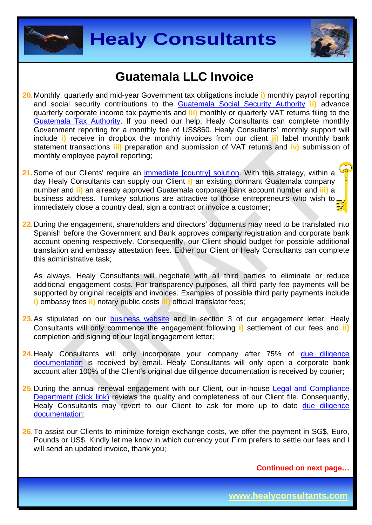



- **20.** Monthly, quarterly and mid-year Government tax obligations include **i)** monthly payroll reporting and social security contributions to the [Guatemala Social Security Authority](http://www.igssgt.org/) **ii)** advance quarterly corporate income tax payments and **iii)** monthly or quarterly VAT returns filing to the [Guatemala Tax Authority.](http://portal.sat.gob.gt/sitio/) If you need our help, Healy Consultants can complete monthly Government reporting for a monthly fee of US\$860. Healy Consultants' monthly support will include **i)** receive in dropbox the monthly invoices from our client **ii)** label monthly bank statement transactions **iii)** preparation and submission of VAT returns and **iv)** submission of monthly employee payroll reporting;
- 21. Some of our Clients' require an *immediate [country] solution*. With this strategy, within a day Healy Consultants can supply our Client **i)** an existing dormant Guatemala company number and **ii)** an already approved Guatemala corporate bank account number and **iii)** a business address. Turnkey solutions are attractive to those entrepreneurs who wish to immediately close a country deal, sign a contract or invoice a customer;
- **22.** During the engagement, shareholders and directors' documents may need to be translated into Spanish before the Government and Bank approves company registration and corporate bank account opening respectively. Consequently, our Client should budget for possible additional translation and embassy attestation fees. Either our Client or Healy Consultants can complete this administrative task;

As always, Healy Consultants will negotiate with all third parties to eliminate or reduce additional engagement costs. For transparency purposes, all third party fee payments will be supported by original receipts and invoices. Examples of possible third party payments include **i)** embassy fees **ii)** notary public costs **iii)** official translator fees;

- 23.As stipulated on our [business website](http://www.healyconsultants.com/) and in section 3 of our engagement letter, Healy Consultants will only commence the engagement following **i)** settlement of our fees and **ii)** completion and signing of our legal engagement letter;
- 24. Healy Consultants will only incorporate your company after 75% of due diligence [documentation](http://www.healyconsultants.com/due-diligence/) is received by email. Healy Consultants will only open a corporate bank account after 100% of the Client's original due diligence documentation is received by courier;
- 25. During the annual renewal engagement with our Client, our in-house Legal and Compliance [Department \(click link\)](http://www.healyconsultants.com/about-us/key-personnel/cai-xin-profile/) reviews the quality and completeness of our Client file. Consequently, Healy Consultants may revert to our Client to ask for more up to date due diligence [documentation;](http://www.healyconsultants.com/due-diligence/)
- **26.** To assist our Clients to minimize foreign exchange costs, we offer the payment in SG\$, Euro, Pounds or US\$. Kindly let me know in which currency your Firm prefers to settle our fees and I will send an updated invoice, thank you:

**Continued on next page…**

**www.healyconsultants.com**